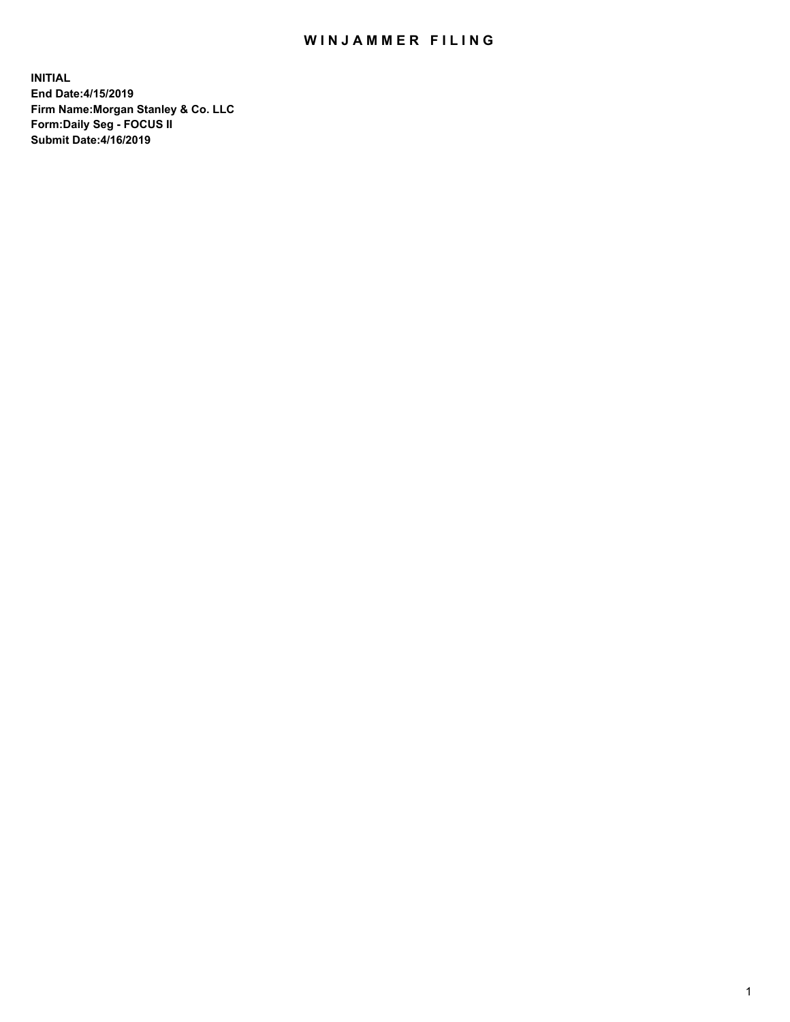## WIN JAMMER FILING

**INITIAL End Date:4/15/2019 Firm Name:Morgan Stanley & Co. LLC Form:Daily Seg - FOCUS II Submit Date:4/16/2019**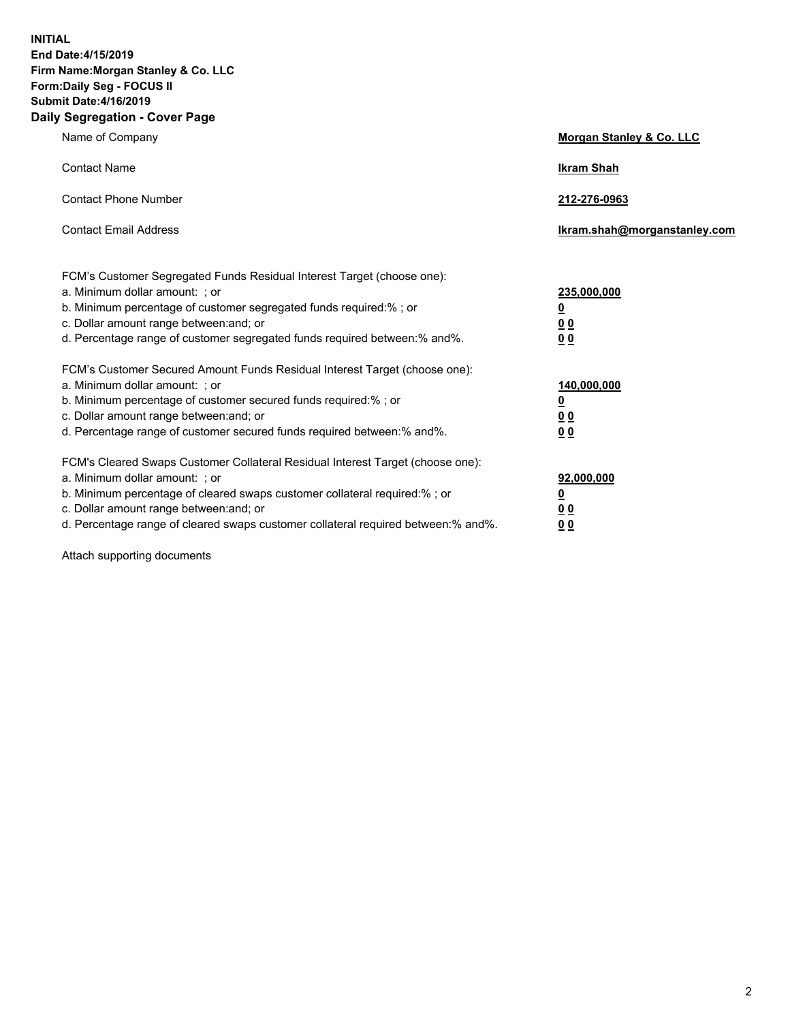**INITIAL End Date:4/15/2019 Firm Name:Morgan Stanley & Co. LLC Form:Daily Seg - FOCUS II Submit Date:4/16/2019 Daily Segregation - Cover Page**

| Name of Company                                                                   | Morgan Stanley & Co. LLC     |
|-----------------------------------------------------------------------------------|------------------------------|
| <b>Contact Name</b>                                                               | <b>Ikram Shah</b>            |
| <b>Contact Phone Number</b>                                                       | 212-276-0963                 |
| <b>Contact Email Address</b>                                                      | Ikram.shah@morganstanley.com |
| FCM's Customer Segregated Funds Residual Interest Target (choose one):            |                              |
| a. Minimum dollar amount: ; or                                                    | 235,000,000                  |
| b. Minimum percentage of customer segregated funds required:% ; or                | <u>0</u>                     |
| c. Dollar amount range between: and; or                                           | <u>0 0</u>                   |
| d. Percentage range of customer segregated funds required between: % and %.       | 0 Q                          |
| FCM's Customer Secured Amount Funds Residual Interest Target (choose one):        |                              |
| a. Minimum dollar amount: ; or                                                    | 140,000,000                  |
| b. Minimum percentage of customer secured funds required:%; or                    | <u>0</u>                     |
| c. Dollar amount range between: and; or                                           | 0 <sub>0</sub>               |
| d. Percentage range of customer secured funds required between:% and%.            | 0 <sub>0</sub>               |
| FCM's Cleared Swaps Customer Collateral Residual Interest Target (choose one):    |                              |
| a. Minimum dollar amount: ; or                                                    | 92,000,000                   |
| b. Minimum percentage of cleared swaps customer collateral required:% ; or        | <u>0</u>                     |
| c. Dollar amount range between: and; or                                           | 0 Q                          |
| d. Percentage range of cleared swaps customer collateral required between:% and%. | 00                           |

Attach supporting documents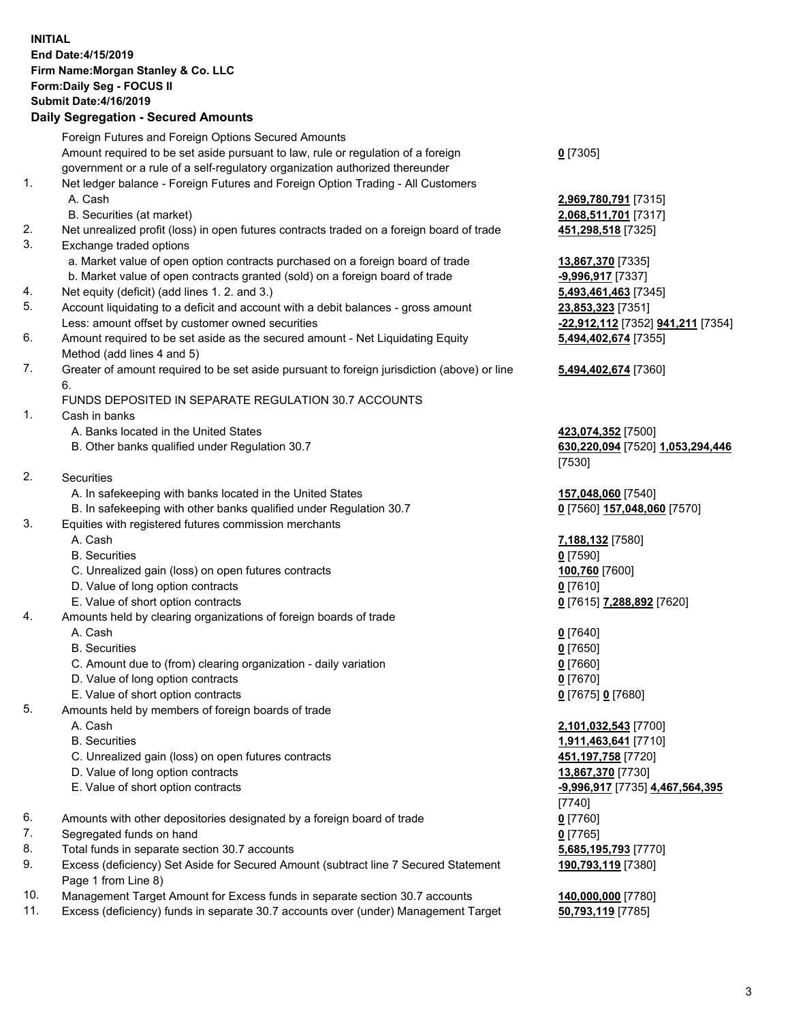## **INITIAL End Date:4/15/2019 Firm Name:Morgan Stanley & Co. LLC Form:Daily Seg - FOCUS II Submit Date:4/16/2019**

## **Daily Segregation - Secured Amounts**

|          | Foreign Futures and Foreign Options Secured Amounts                                                                                |                                 |
|----------|------------------------------------------------------------------------------------------------------------------------------------|---------------------------------|
|          | Amount required to be set aside pursuant to law, rule or regulation of a foreign                                                   | $0$ [7305]                      |
|          | government or a rule of a self-regulatory organization authorized thereunder                                                       |                                 |
| 1.       | Net ledger balance - Foreign Futures and Foreign Option Trading - All Customers                                                    |                                 |
|          | A. Cash                                                                                                                            | 2,969,780,791                   |
|          | B. Securities (at market)                                                                                                          | 2,068,511,701                   |
| 2.       | Net unrealized profit (loss) in open futures contracts traded on a foreign board of trade                                          | 451,298,518 [7                  |
| 3.       | Exchange traded options                                                                                                            |                                 |
|          | a. Market value of open option contracts purchased on a foreign board of trade                                                     | 13,867,370 [73                  |
|          | b. Market value of open contracts granted (sold) on a foreign board of trade                                                       | -9,996,917 [73                  |
| 4.<br>5. | Net equity (deficit) (add lines 1.2. and 3.)                                                                                       | 5,493,461,463                   |
|          | Account liquidating to a deficit and account with a debit balances - gross amount                                                  | 23,853,323 [73                  |
| 6.       | Less: amount offset by customer owned securities<br>Amount required to be set aside as the secured amount - Net Liquidating Equity | <mark>-22,912,112</mark> [7     |
|          | Method (add lines 4 and 5)                                                                                                         | 5,494,402,674                   |
| 7.       | Greater of amount required to be set aside pursuant to foreign jurisdiction (above) or line                                        | 5,494,402,674                   |
|          | 6.                                                                                                                                 |                                 |
|          | FUNDS DEPOSITED IN SEPARATE REGULATION 30.7 ACCOUNTS                                                                               |                                 |
| 1.       | Cash in banks                                                                                                                      |                                 |
|          | A. Banks located in the United States                                                                                              | 423,074,352 [7                  |
|          | B. Other banks qualified under Regulation 30.7                                                                                     | 630,220,094 [7                  |
|          |                                                                                                                                    | [7530]                          |
| 2.       | Securities                                                                                                                         |                                 |
|          | A. In safekeeping with banks located in the United States                                                                          | 157,048,060 [7                  |
|          | B. In safekeeping with other banks qualified under Regulation 30.7                                                                 | 0 [7560] 157,04                 |
| 3.       | Equities with registered futures commission merchants                                                                              |                                 |
|          | A. Cash                                                                                                                            | 7,188,132 [758                  |
|          | <b>B.</b> Securities                                                                                                               | $0$ [7590]                      |
|          | C. Unrealized gain (loss) on open futures contracts                                                                                | 100,760 [7600]                  |
|          | D. Value of long option contracts                                                                                                  | $0$ [7610]                      |
|          | E. Value of short option contracts                                                                                                 | 0 [7615] 7,288,                 |
| 4.       | Amounts held by clearing organizations of foreign boards of trade                                                                  |                                 |
|          | A. Cash                                                                                                                            | $0$ [7640]                      |
|          | <b>B.</b> Securities                                                                                                               | $0$ [7650]                      |
|          | C. Amount due to (from) clearing organization - daily variation                                                                    | $0$ [7660]                      |
|          | D. Value of long option contracts                                                                                                  | $0$ [7670]                      |
|          | E. Value of short option contracts                                                                                                 | 0 [7675] 0 [768                 |
| 5.       | Amounts held by members of foreign boards of trade                                                                                 |                                 |
|          | A. Cash                                                                                                                            | 2,101,032,543                   |
|          | <b>B.</b> Securities                                                                                                               | 1,911,463,641                   |
|          | C. Unrealized gain (loss) on open futures contracts                                                                                | 451, 197, 758 [7                |
|          | D. Value of long option contracts                                                                                                  | 13,867,370 [77                  |
|          | E. Value of short option contracts                                                                                                 | -9,996,917 [773                 |
|          |                                                                                                                                    | [7740]                          |
| 6.       | Amounts with other depositories designated by a foreign board of trade                                                             | $0$ [7760]                      |
| 7.<br>8. | Segregated funds on hand                                                                                                           | $0$ [7765]                      |
| 9.       | Total funds in separate section 30.7 accounts                                                                                      | 5,685,195,793<br>190,793,119 [7 |
|          | Excess (deficiency) Set Aside for Secured Amount (subtract line 7 Secured Statement<br>Page 1 from Line 8)                         |                                 |

- 10. Management Target Amount for Excess funds in separate section 30.7 accounts **140,000,000** [7780]
- 11. Excess (deficiency) funds in separate 30.7 accounts over (under) Management Target **50,793,119** [7785]

 A. Cash **2,969,780,791** [7315]  $38, 511, 701$  [7317] 298,518 [7325]

a. Market of orien 13,858 [7335] **96,917** [7337] **03,461,463** [7345] 853,323 [7351] Less: amount offset by customer owned securities **-22,912,112** [7352] **941,211** [7354] **5,494,402,674** [7355]

## **5,494,402,674** [7360]

A. **074,352** [7500] B. Other banks qualified under Regulation 30.7 **630,220,094** [7520] **1,053,294,446** [7530]

 $, 048, 060$  [7540]  $560$ ] **157,048,060** [7570]

 A. Cash **7,188,132** [7580] E. Value of short option contracts **0** [7615] **7,288,892** [7620]

E. Value of short option contracts **0** [7675] **0** [7680]

 A. Cash **2,101,032,543** [7700] **1,463,641** [7710] **(197,758** [7720] **0. 27. 270 [7730]**  E. Value of short option contracts **-9,996,917** [7735] **4,467,564,395**  $|01$ 85,195,793 [7770] **190,793,119** [7380]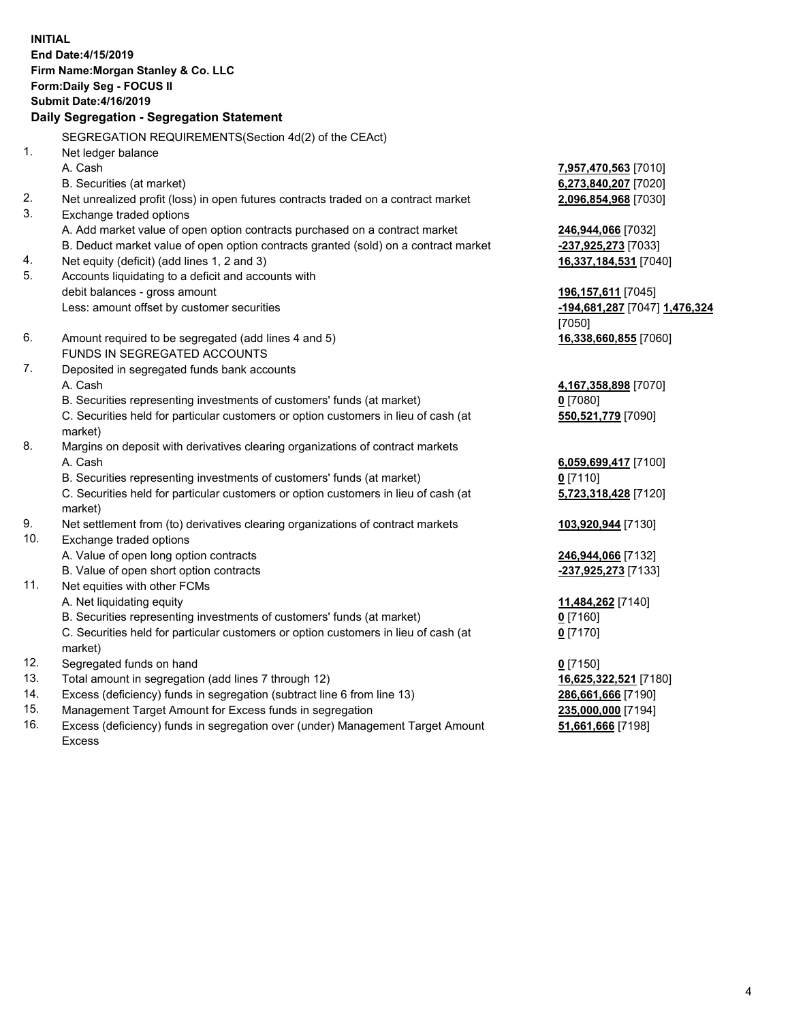**INITIAL End Date:4/15/2019 Firm Name:Morgan Stanley & Co. LLC Form:Daily Seg - FOCUS II Submit Date:4/16/2019 Daily Segregation - Segregation Statement** SEGREGATION REQUIREMENTS(Section 4d(2) of the CEAct) 1. Net ledger balance A. Cash **7,957,470,563** [7010] B. Securities (at market) **6,273,840,207** [7020] 2. Net unrealized profit (loss) in open futures contracts traded on a contract market **2,096,854,968** [7030] 3. Exchange traded options A. Add market value of open option contracts purchased on a contract market **246,944,066** [7032] B. Deduct market value of open option contracts granted (sold) on a contract market **-237,925,273** [7033] 4. Net equity (deficit) (add lines 1, 2 and 3) **16,337,184,531** [7040] 5. Accounts liquidating to a deficit and accounts with debit balances - gross amount **196,157,611** [7045] Less: amount offset by customer securities **-194,681,287** [7047] **1,476,324** [7050] 6. Amount required to be segregated (add lines 4 and 5) **16,338,660,855** [7060] FUNDS IN SEGREGATED ACCOUNTS 7. Deposited in segregated funds bank accounts A. Cash **4,167,358,898** [7070] B. Securities representing investments of customers' funds (at market) **0** [7080] C. Securities held for particular customers or option customers in lieu of cash (at market) **550,521,779** [7090] 8. Margins on deposit with derivatives clearing organizations of contract markets A. Cash **6,059,699,417** [7100] B. Securities representing investments of customers' funds (at market) **0** [7110] C. Securities held for particular customers or option customers in lieu of cash (at market) **5,723,318,428** [7120] 9. Net settlement from (to) derivatives clearing organizations of contract markets **103,920,944** [7130] 10. Exchange traded options A. Value of open long option contracts **246,944,066** [7132] B. Value of open short option contracts **-237,925,273** [7133] 11. Net equities with other FCMs A. Net liquidating equity **11,484,262** [7140] B. Securities representing investments of customers' funds (at market) **0** [7160] C. Securities held for particular customers or option customers in lieu of cash (at market) **0** [7170] 12. Segregated funds on hand **0** [7150] 13. Total amount in segregation (add lines 7 through 12) **16,625,322,521** [7180] 14. Excess (deficiency) funds in segregation (subtract line 6 from line 13) **286,661,666** [7190]

- 15. Management Target Amount for Excess funds in segregation **235,000,000** [7194]
- 16. Excess (deficiency) funds in segregation over (under) Management Target Amount Excess

**51,661,666** [7198]